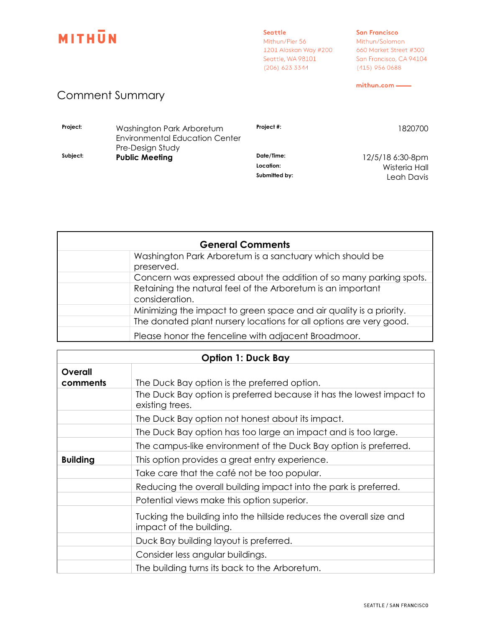

Seattle Mithun/Pier 56 1201 Alaskan Way #200<br>Seattle, WA 98101<br>1201 123 33 11 (206) 623 3344

## **San Francisco** Mithun/Solomon 660 Market Street #300 San Francisco, CA 94104

mithun.com -

(415) 956 0688

## **Comment Summary**

| Project: | Washington Park Arboretum<br><b>Environmental Education Center</b><br>Pre-Design Study | Project #:    | 1820700          |
|----------|----------------------------------------------------------------------------------------|---------------|------------------|
| Subject: | <b>Public Meeting</b>                                                                  | Date/Time:    | 12/5/18 6:30-8pm |
|          |                                                                                        | Location:     | Wisteria Hall    |
|          |                                                                                        | Submitted by: | Leah Davis       |

| <b>General Comments</b> |                                                                               |  |
|-------------------------|-------------------------------------------------------------------------------|--|
|                         | Washington Park Arboretum is a sanctuary which should be<br>preserved.        |  |
|                         | Concern was expressed about the addition of so many parking spots.            |  |
|                         | Retaining the natural feel of the Arboretum is an important<br>consideration. |  |
|                         | Minimizing the impact to green space and air quality is a priority.           |  |
|                         | The donated plant nursery locations for all options are very good.            |  |
|                         | Please honor the fenceline with adjacent Broadmoor.                           |  |

| <b>Option 1: Duck Bay</b> |                                                                                                |
|---------------------------|------------------------------------------------------------------------------------------------|
| Overall<br>comments       | The Duck Bay option is the preferred option.                                                   |
|                           | The Duck Bay option is preferred because it has the lowest impact to<br>existing trees.        |
|                           | The Duck Bay option not honest about its impact.                                               |
|                           | The Duck Bay option has too large an impact and is too large.                                  |
|                           | The campus-like environment of the Duck Bay option is preferred.                               |
| <b>Building</b>           | This option provides a great entry experience.                                                 |
|                           | Take care that the café not be too popular.                                                    |
|                           | Reducing the overall building impact into the park is preferred.                               |
|                           | Potential views make this option superior.                                                     |
|                           | Tucking the building into the hillside reduces the overall size and<br>impact of the building. |
|                           | Duck Bay building layout is preferred.                                                         |
|                           | Consider less angular buildings.                                                               |
|                           | The building turns its back to the Arboretum.                                                  |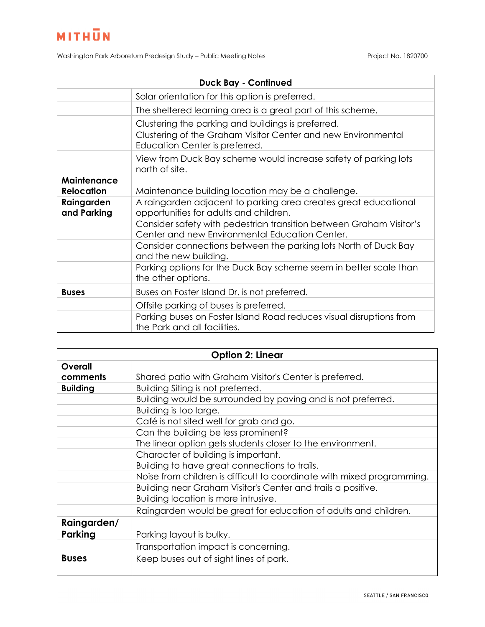Washington Park Arboretum Predesign Study - Public Meeting Notes Project No. 1820700

| <b>Duck Bay - Continued</b>             |                                                                                                                       |  |
|-----------------------------------------|-----------------------------------------------------------------------------------------------------------------------|--|
|                                         | Solar orientation for this option is preferred.                                                                       |  |
|                                         | The sheltered learning area is a great part of this scheme.                                                           |  |
|                                         | Clustering the parking and buildings is preferred.                                                                    |  |
|                                         | Clustering of the Graham Visitor Center and new Environmental<br>Education Center is preferred.                       |  |
|                                         | View from Duck Bay scheme would increase safety of parking lots<br>north of site.                                     |  |
| <b>Maintenance</b><br><b>Relocation</b> | Maintenance building location may be a challenge.                                                                     |  |
| Raingarden<br>and Parking               | A raingarden adjacent to parking area creates great educational<br>opportunities for adults and children.             |  |
|                                         | Consider safety with pedestrian transition between Graham Visitor's<br>Center and new Environmental Education Center. |  |
|                                         | Consider connections between the parking lots North of Duck Bay<br>and the new building.                              |  |
|                                         | Parking options for the Duck Bay scheme seem in better scale than<br>the other options.                               |  |
| <b>Buses</b>                            | Buses on Foster Island Dr. is not preferred.                                                                          |  |
|                                         | Offsite parking of buses is preferred.                                                                                |  |
|                                         | Parking buses on Foster Island Road reduces visual disruptions from<br>the Park and all facilities.                   |  |

| <b>Option 2: Linear</b> |                                                                        |  |
|-------------------------|------------------------------------------------------------------------|--|
| Overall                 |                                                                        |  |
| comments                | Shared patio with Graham Visitor's Center is preferred.                |  |
| <b>Building</b>         | Building Siting is not preferred.                                      |  |
|                         | Building would be surrounded by paving and is not preferred.           |  |
|                         | Building is too large.                                                 |  |
|                         | Café is not sited well for grab and go.                                |  |
|                         | Can the building be less prominent?                                    |  |
|                         | The linear option gets students closer to the environment.             |  |
|                         | Character of building is important.                                    |  |
|                         | Building to have great connections to trails.                          |  |
|                         | Noise from children is difficult to coordinate with mixed programming. |  |
|                         | Building near Graham Visitor's Center and trails a positive.           |  |
|                         | Building location is more intrusive.                                   |  |
|                         | Raingarden would be great for education of adults and children.        |  |
| Raingarden/             |                                                                        |  |
| Parking                 | Parking layout is bulky.                                               |  |
|                         | Transportation impact is concerning.                                   |  |
| <b>Buses</b>            | Keep buses out of sight lines of park.                                 |  |